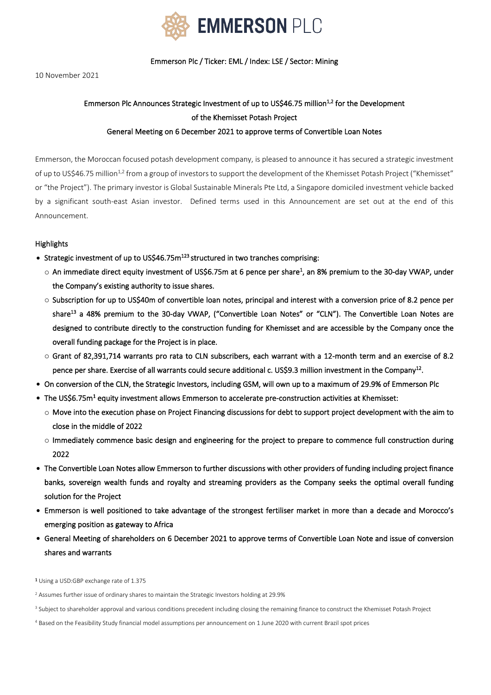

Emmerson Plc / Ticker: EML / Index: LSE / Sector: Mining

10 November 2021

# Emmerson Plc Announces Strategic Investment of up to US\$46.75 million<sup>1,2</sup> for the Development of the Khemisset Potash Project

# General Meeting on 6 December 2021 to approve terms of Convertible Loan Notes

Emmerson, the Moroccan focused potash development company, is pleased to announce it has secured a strategic investment of up to US\$46.75 million<sup>1,2</sup> from a group of investors to support the development of the Khemisset Potash Project ("Khemisset" or "the Project"). The primary investor is Global Sustainable Minerals Pte Ltd, a Singapore domiciled investment vehicle backed by a significant south-east Asian investor. Defined terms used in this Announcement are set out at the end of this Announcement.

## Highlights

- Strategic investment of up to US\$46.75m<sup>123</sup> structured in two tranches comprising:
	- $\circ$  An immediate direct equity investment of US\$6.75m at 6 pence per share<sup>1</sup>, an 8% premium to the 30-day VWAP, under the Company's existing authority to issue shares.
	- $\circ$  Subscription for up to US\$40m of convertible loan notes, principal and interest with a conversion price of 8.2 pence per share<sup>13</sup> a 48% premium to the 30-day VWAP, ("Convertible Loan Notes" or "CLN"). The Convertible Loan Notes are designed to contribute directly to the construction funding for Khemisset and are accessible by the Company once the overall funding package for the Project is in place.
	- o Grant of 82,391,714 warrants pro rata to CLN subscribers, each warrant with a 12-month term and an exercise of 8.2 pence per share. Exercise of all warrants could secure additional c. US\$9.3 million investment in the Company<sup>12</sup>.
- On conversion of the CLN, the Strategic Investors, including GSM, will own up to a maximum of 29.9% of Emmerson Plc
- $\bullet$  The US\$6.75m<sup>1</sup> equity investment allows Emmerson to accelerate pre-construction activities at Khemisset:
	- o Move into the execution phase on Project Financing discussions for debt to support project development with the aim to close in the middle of 2022
	- o Immediately commence basic design and engineering for the project to prepare to commence full construction during 2022
- The Convertible Loan Notes allow Emmerson to further discussions with other providers of funding including project finance banks, sovereign wealth funds and royalty and streaming providers as the Company seeks the optimal overall funding solution for the Project
- Emmerson is well positioned to take advantage of the strongest fertiliser market in more than a decade and Morocco's emerging position as gateway to Africa
- General Meeting of shareholders on 6 December 2021 to approve terms of Convertible Loan Note and issue of conversion shares and warrants

<sup>1</sup> Using a USD:GBP exchange rate of 1.375

<sup>4</sup> Based on the Feasibility Study financial model assumptions per announcement on 1 June 2020 with current Brazil spot prices

<sup>&</sup>lt;sup>2</sup> Assumes further issue of ordinary shares to maintain the Strategic Investors holding at 29.9%

<sup>&</sup>lt;sup>3</sup> Subject to shareholder approval and various conditions precedent including closing the remaining finance to construct the Khemisset Potash Project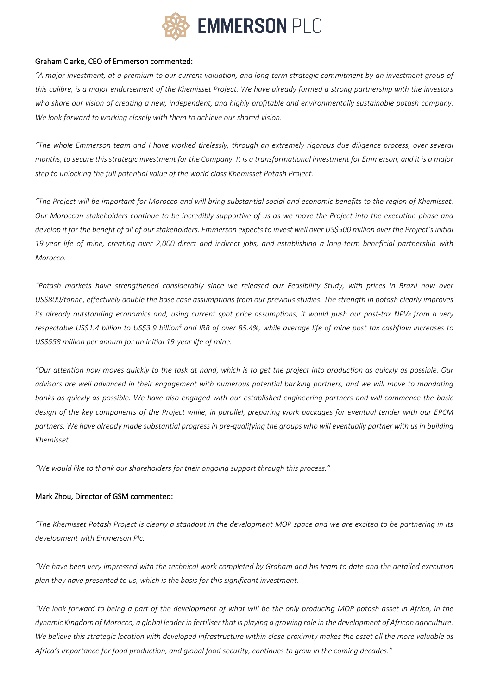

#### Graham Clarke, CEO of Emmerson commented:

"A major investment, at a premium to our current valuation, and long-term strategic commitment by an investment group of this calibre, is a major endorsement of the Khemisset Project. We have already formed a strong partnership with the investors who share our vision of creating a new, independent, and highly profitable and environmentally sustainable potash company. *We look forward to working closely with them to achieve our shared vision.*

"The whole Emmerson team and I have worked tirelessly, through an extremely rigorous due diligence process, over several months, to secure this strategic investment for the Company. It is a transformational investment for Emmerson, and it is a major *step to unlocking the full potential value of the world class Khemisset Potash Project.*

"The Project will be important for Morocco and will bring substantial social and economic benefits to the region of Khemisset. Our Moroccan stakeholders continue to be incredibly supportive of us as we move the Project into the execution phase and develop it for the benefit of all of our stakeholders. Emmerson expects to invest well over US\$500 million over the Project's initial 19-year life of mine, creating over 2,000 direct and indirect jobs, and establishing a long-term beneficial partnership with *Morocco.*

"Potash markets have strengthened considerably since we released our Feasibility Study, with prices in Brazil now over US\$800/tonne, effectively double the base case assumptions from our previous studies. The strength in potash clearly improves its already outstanding economics and, using current spot price assumptions, it would push our post-tax NPV<sub>8</sub> from a very respectable US\$1.4 billion to US\$3.9 billion<sup>4</sup> and IRR of over 85.4%, while average life of mine post tax cashflow increases to *US\$558 million per annum for an initial 19-year life of mine.*

"Our attention now moves quickly to the task at hand, which is to get the project into production as quickly as possible. Our advisors are well advanced in their engagement with numerous potential banking partners, and we will move to mandating banks as quickly as possible. We have also engaged with our established engineering partners and will commence the basic design of the key components of the Project while, in parallel, preparing work packages for eventual tender with our EPCM partners. We have already made substantial progress in pre-qualifying the groups who will eventually partner with us in building *Khemisset.*

*"We would like to thank our shareholders for their ongoing support through this process."*

# Mark Zhou, Director of GSM commented:

"The Khemisset Potash Project is clearly a standout in the development MOP space and we are excited to be partnering in its *development with Emmerson Plc.*

"We have been very impressed with the technical work completed by Graham and his team to date and the detailed execution *plan they have presented to us, which is the basis for this significant investment.*

"We look forward to being a part of the development of what will be the only producing MOP potash asset in Africa, in the dynamic Kingdom of Morocco, a global leader in fertiliser that is playing a growing role in the development of African agriculture. We believe this strategic location with developed infrastructure within close proximity makes the asset all the more valuable as Africa's importance for food production, and global food security, continues to grow in the coming decades."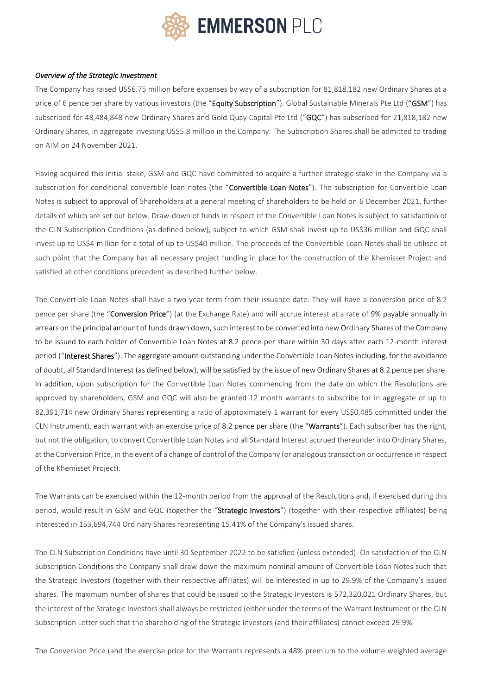

#### *Overview of the Strategic Investment*

The Company has raised US\$6.75 million before expenses by way of a subscription for 81,818,182 new Ordinary Shares at a price of 6 pence per share by various investors (the "Equity Subscription"). Global Sustainable Minerals Pte Ltd ("GSM") has subscribed for 48,484,848 new Ordinary Shares and Gold Quay Capital Pte Ltd ("GQC") has subscribed for 21,818,182 new Ordinary Shares, in aggregate investing US\$5.8 million in the Company. The Subscription Shares shall be admitted to trading on AIM on 24 November 2021.

Having acquired this initial stake, GSM and GQC have committed to acquire a further strategic stake in the Company via a subscription for conditional convertible loan notes (the "Convertible Loan Notes"). The subscription for Convertible Loan Notes is subject to approval of Shareholders at a general meeting of shareholders to be held on 6 December 2021, further details of which are set out below. Draw-down of funds in respect of the Convertible Loan Notes is subject to satisfaction of the CLN Subscription Conditions (as defined below), subject to which GSM shall invest up to US\$36 million and GQC shall invest up to US\$4 million for a total of up to US\$40 million. The proceeds of the Convertible Loan Notes shall be utilised at such point that the Company has all necessary project funding in place for the construction of the Khemisset Project and satisfied all other conditions precedent as described further below.

The Convertible Loan Notes shall have a two-year term from their issuance date. They will have a conversion price of 8.2 pence per share (the "Conversion Price") (at the Exchange Rate) and will accrue interest at a rate of 9% payable annually in arrears on the principal amount of funds drawn down, such interest to be converted into new Ordinary Shares of the Company to be issued to each holder of Convertible Loan Notes at 8.2 pence per share within 30 days after each 12-month interest period ("Interest Shares"). The aggregate amount outstanding under the Convertible Loan Notes including, for the avoidance of doubt, all Standard Interest (as defined below), will be satisfied by the issue of new Ordinary Shares at 8.2 pence per share. In addition, upon subscription for the Convertible Loan Notes commencing from the date on which the Resolutions are approved by shareholders, GSM and GQC will also be granted 12 month warrants to subscribe for in aggregate of up to 82,391,714 new Ordinary Shares representing a ratio of approximately 1 warrant for every US\$0.485 committed under the CLN Instrument), each warrant with an exercise price of 8.2 pence per share (the "Warrants"). Each subscriber has the right, but not the obligation, to convert Convertible Loan Notes and all Standard Interest accrued thereunder into Ordinary Shares, at the Conversion Price, in the event of a change of control of the Company (or analogous transaction or occurrence in respect of the Khemisset Project).

The Warrants can be exercised within the 12-month period from the approval of the Resolutions and, if exercised during this period, would result in GSM and GQC (together the "Strategic Investors") (together with their respective affiliates) being interested in 153,694,744 Ordinary Shares representing 15.41% of the Company's issued shares.

The CLN Subscription Conditions have until 30 September 2022 to be satisfied (unless extended). On satisfaction of the CLN Subscription Conditions the Company shall draw down the maximum nominal amount of Convertible Loan Notes such that the Strategic Investors (together with their respective affiliates) will be interested in up to 29.9% of the Company's issued shares. The maximum number of shares that could be issued to the Strategic Investors is 572,320,021 Ordinary Shares, but the interest of the Strategic Investors shall always be restricted (either under the terms of the Warrant Instrument or the CLN Subscription Letter such that the shareholding of the Strategic Investors (and their affiliates) cannot exceed 29.9%.

The Conversion Price (and the exercise price for the Warrants represents a 48% premium to the volume weighted average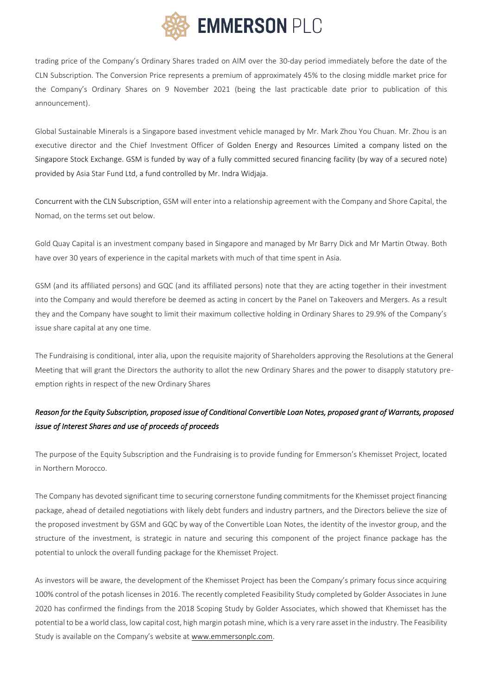

trading price of the Company's Ordinary Shares traded on AIM over the 30-day period immediately before the date of the CLN Subscription. The Conversion Price represents a premium of approximately 45% to the closing middle market price for the Company's Ordinary Shares on 9 November 2021 (being the last practicable date prior to publication of this announcement).

Global Sustainable Minerals is a Singapore based investment vehicle managed by Mr. Mark Zhou You Chuan. Mr. Zhou is an executive director and the Chief Investment Officer of Golden Energy and Resources Limiteda company listed on the Singapore Stock Exchange. GSM is funded by way of a fully committed secured financing facility (by way of a secured note) provided by Asia Star Fund Ltd, a fund controlled by Mr. Indra Widjaja.

Concurrent with the CLN Subscription, GSM will enter into a relationship agreement with the Company and Shore Capital, the Nomad, on the terms set out below.

Gold Quay Capital is an investment company based in Singapore and managed by Mr Barry Dick and Mr Martin Otway. Both have over 30 years of experience in the capital markets with much of that time spent in Asia.

GSM (and its affiliated persons) and GQC (and its affiliated persons) note that they are acting together in their investment into the Company and would therefore be deemed as acting in concert by the Panel on Takeovers and Mergers. As a result they and the Company have sought to limit their maximum collective holding in Ordinary Shares to 29.9% of the Company's issue share capital at any one time.

The Fundraising is conditional, inter alia, upon the requisite majority of Shareholders approving the Resolutions at the General Meeting that will grant the Directors the authority to allot the new Ordinary Shares and the power to disapply statutory preemption rights in respect of the new Ordinary Shares

# *Reason for the Equity Subscription, proposed issue of Conditional Convertible Loan Notes, proposed grant of Warrants, proposed issue of Interest Shares and use of proceeds of proceeds*

The purpose of the Equity Subscription and the Fundraising is to provide funding for Emmerson's Khemisset Project, located in Northern Morocco.

The Company has devoted significant time to securing cornerstone funding commitments for the Khemisset project financing package, ahead of detailed negotiations with likely debt funders and industry partners, and the Directors believe the size of the proposed investment by GSM and GQC by way of the Convertible Loan Notes, the identity of the investor group, and the structure of the investment, is strategic in nature and securing this component of the project finance package has the potential to unlock the overall funding package for the Khemisset Project.

As investors will be aware, the development of the Khemisset Project has been the Company's primary focus since acquiring 100% control of the potash licenses in 2016. The recently completed Feasibility Study completed by Golder Associates in June 2020 has confirmed the findings from the 2018 Scoping Study by Golder Associates, which showed that Khemisset has the potential to be a world class, low capital cost, high margin potash mine, which is a very rare asset in the industry. The Feasibility Study is available on the Company's website at [www.emmersonplc.com.](http://www.emmersonplc.com/)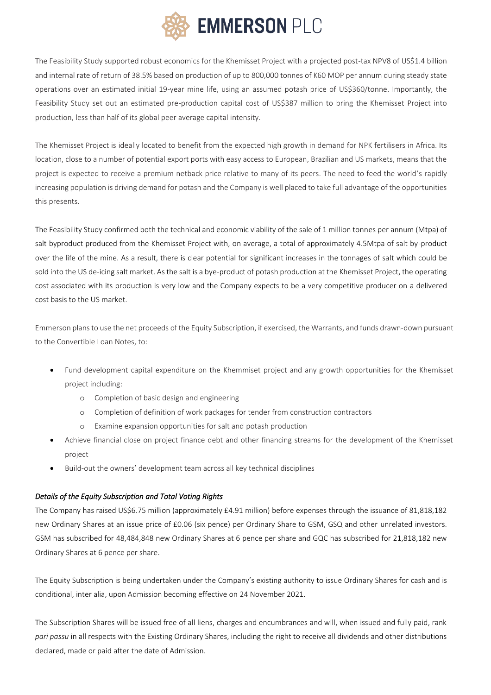

The Feasibility Study supported robust economics for the Khemisset Project with a projected post-tax NPV8 of US\$1.4 billion and internal rate of return of 38.5% based on production of up to 800,000 tonnes of K60 MOP per annum during steady state operations over an estimated initial 19-year mine life, using an assumed potash price of US\$360/tonne. Importantly, the Feasibility Study set out an estimated pre-production capital cost of US\$387 million to bring the Khemisset Project into production, less than half of its global peer average capital intensity.

The Khemisset Project is ideally located to benefit from the expected high growth in demand for NPK fertilisers in Africa. Its location, close to a number of potential export ports with easy access to European, Brazilian and US markets, means that the project is expected to receive a premium netback price relative to many of its peers. The need to feed the world's rapidly increasing population is driving demand for potash and the Company is well placed to take full advantage of the opportunities this presents.

The Feasibility Study confirmed both the technical and economic viability of the sale of 1 million tonnes per annum (Mtpa) of salt byproduct produced from the Khemisset Project with, on average, a total of approximately 4.5Mtpa of salt by-product over the life of the mine. As a result, there is clear potential for significant increases in the tonnages of salt which could be sold into the US de-icing salt market. As the salt is a bye-product of potash production at the Khemisset Project, the operating cost associated with its production is very low and the Company expects to be a very competitive producer on a delivered cost basis to the US market.

Emmerson plans to use the net proceeds of the Equity Subscription, if exercised, the Warrants, and funds drawn-down pursuant to the Convertible Loan Notes, to:

- Fund development capital expenditure on the Khemmiset project and any growth opportunities for the Khemisset project including:
	- o Completion of basic design and engineering
	- o Completion of definition of work packages for tender from construction contractors
	- o Examine expansion opportunities for salt and potash production
- Achieve financial close on project finance debt and other financing streams for the development of the Khemisset project
- Build-out the owners' development team across all key technical disciplines

# *Details of the Equity Subscription and Total Voting Rights*

The Company has raised US\$6.75 million (approximately £4.91 million) before expenses through the issuance of 81,818,182 new Ordinary Shares at an issue price of £0.06 (six pence) per Ordinary Share to GSM, GSQ and other unrelated investors. GSM has subscribed for 48,484,848 new Ordinary Shares at 6 pence per share and GQC has subscribed for 21,818,182 new Ordinary Shares at 6 pence per share.

The Equity Subscription is being undertaken under the Company's existing authority to issue Ordinary Shares for cash and is conditional, inter alia, upon Admission becoming effective on 24 November 2021.

The Subscription Shares will be issued free of all liens, charges and encumbrances and will, when issued and fully paid, rank *pari passu* in all respects with the Existing Ordinary Shares, including the right to receive all dividends and other distributions declared, made or paid after the date of Admission.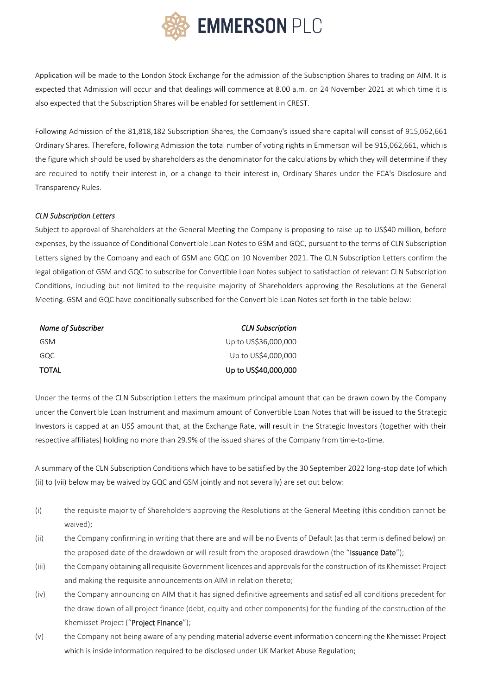

Application will be made to the London Stock Exchange for the admission of the Subscription Shares to trading on AIM. It is expected that Admission will occur and that dealings will commence at 8.00 a.m. on 24 November 2021 at which time it is also expected that the Subscription Shares will be enabled for settlement in CREST.

Following Admission of the 81,818,182 Subscription Shares, the Company's issued share capital will consist of 915,062,661 Ordinary Shares. Therefore, following Admission the total number of voting rights in Emmerson will be 915,062,661, which is the figure which should be used by shareholders as the denominator for the calculations by which they will determine if they are required to notify their interest in, or a change to their interest in, Ordinary Shares under the FCA's Disclosure and Transparency Rules.

#### *CLN Subscription Letters*

Subject to approval of Shareholders at the General Meeting the Company is proposing to raise up to US\$40 million, before expenses, by the issuance of Conditional Convertible Loan Notes to GSM and GQC, pursuant to the terms of CLN Subscription Letters signed by the Company and each of GSM and GQC on 10 November 2021. The CLN Subscription Letters confirm the legal obligation of GSM and GQC to subscribe for Convertible Loan Notes subject to satisfaction of relevant CLN Subscription Conditions, including but not limited to the requisite majority of Shareholders approving the Resolutions at the General Meeting. GSM and GQC have conditionally subscribed for the Convertible Loan Notes set forth in the table below:

| Name of Subscriber | <b>CLN Subscription</b> |
|--------------------|-------------------------|
| GSM                | Up to US\$36,000,000    |
| GQC                | Up to US\$4,000,000     |
| TOTAL              | Up to US\$40,000,000    |

Under the terms of the CLN Subscription Letters the maximum principal amount that can be drawn down by the Company under the Convertible Loan Instrument and maximum amount of Convertible Loan Notes that will be issued to the Strategic Investors is capped at an US\$ amount that, at the Exchange Rate, will result in the Strategic Investors (together with their respective affiliates) holding no more than 29.9% of the issued shares of the Company from time-to-time.

A summary of the CLN Subscription Conditions which have to be satisfied by the 30 September 2022 long-stop date (of which (ii) to (vii) below may be waived by GQC and GSM jointly and not severally) are set out below:

- (i) the requisite majority of Shareholders approving the Resolutions at the General Meeting (this condition cannot be waived);
- (ii) the Company confirming in writing that there are and will be no Events of Default (as that term is defined below) on the proposed date of the drawdown or will result from the proposed drawdown (the "Issuance Date");
- (iii) the Company obtaining all requisite Government licences and approvals for the construction of its Khemisset Project and making the requisite announcements on AIM in relation thereto;
- (iv) the Company announcing on AIM that it has signed definitive agreements and satisfied all conditions precedent for the draw-down of all project finance (debt, equity and other components) for the funding of the construction of the Khemisset Project ("Project Finance");
- (v) the Company not being aware of any pending material adverse event information concerning the Khemisset Project which is inside information required to be disclosed under UK Market Abuse Regulation;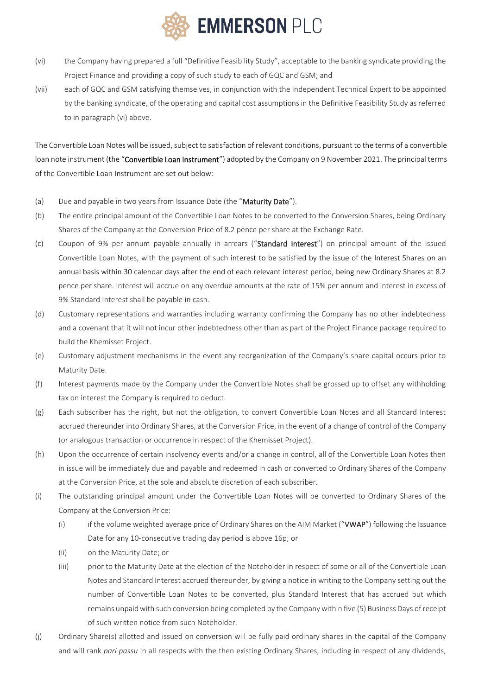

- (vi) the Company having prepared a full "Definitive Feasibility Study", acceptable to the banking syndicate providing the Project Finance and providing a copy of such study to each of GQC and GSM; and
- (vii) each of GQC and GSM satisfying themselves, in conjunction with the Independent Technical Expert to be appointed by the banking syndicate, of the operating and capital cost assumptions in the Definitive Feasibility Study as referred to in paragraph (vi) above.

The Convertible Loan Notes will be issued, subject to satisfaction of relevant conditions, pursuant to the terms of a convertible loan note instrument (the "Convertible Loan Instrument") adopted by the Company on 9 November 2021. The principal terms of the Convertible Loan Instrument are set out below:

- (a) Due and payable in two years from Issuance Date (the "Maturity Date").
- (b) The entire principal amount of the Convertible Loan Notes to be converted to the Conversion Shares, being Ordinary Shares of the Company at the Conversion Price of 8.2 pence per share at the Exchange Rate.
- (c) Coupon of 9% per annum payable annually in arrears ("Standard Interest") on principal amount of the issued Convertible Loan Notes, with the payment of such interest to be satisfied by the issue of the Interest Shares on an annual basis within 30 calendar days after the end of each relevant interest period, being new Ordinary Shares at 8.2 pence per share. Interest will accrue on any overdue amounts at the rate of 15% per annum and interest in excess of 9% Standard Interest shall be payable in cash.
- (d) Customary representations and warranties including warranty confirming the Company has no other indebtedness and a covenant that it will not incur other indebtedness other than as part of the Project Finance package required to build the Khemisset Project.
- (e) Customary adjustment mechanisms in the event any reorganization of the Company's share capital occurs prior to Maturity Date.
- (f) Interest payments made by the Company under the Convertible Notes shall be grossed up to offset any withholding tax on interest the Company is required to deduct.
- (g) Each subscriber has the right, but not the obligation, to convert Convertible Loan Notes and all Standard Interest accrued thereunder into Ordinary Shares, at the Conversion Price, in the event of a change of control of the Company (or analogous transaction or occurrence in respect of the Khemisset Project).
- (h) Upon the occurrence of certain insolvency events and/or a change in control, all of the Convertible Loan Notes then in issue will be immediately due and payable and redeemed in cash or converted to Ordinary Shares of the Company at the Conversion Price, at the sole and absolute discretion of each subscriber.
- (i) The outstanding principal amount under the Convertible Loan Notes will be converted to Ordinary Shares of the Company at the Conversion Price:
	- (i) if the volume weighted average price of Ordinary Shares on the AIM Market ("VWAP") following the Issuance Date for any 10-consecutive trading day period is above 16p; or
	- (ii) on the Maturity Date; or
	- (iii) prior to the Maturity Date at the election of the Noteholder in respect of some or all of the Convertible Loan Notes and Standard Interest accrued thereunder, by giving a notice in writing to the Company setting out the number of Convertible Loan Notes to be converted, plus Standard Interest that has accrued but which remains unpaid with such conversion being completed by the Company within five (5) Business Days of receipt of such written notice from such Noteholder.
- (j) Ordinary Share(s) allotted and issued on conversion will be fully paid ordinary shares in the capital of the Company and will rank *pari passu* in all respects with the then existing Ordinary Shares, including in respect of any dividends,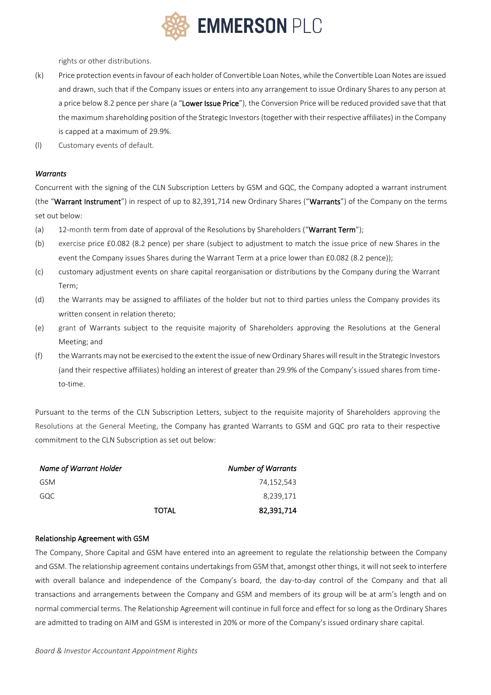

rights or other distributions.

- (k) Price protection events in favour of each holder of Convertible Loan Notes, while the Convertible Loan Notes are issued and drawn, such that if the Company issues or enters into any arrangement to issue Ordinary Shares to any person at a price below 8.2 pence per share (a "Lower Issue Price"), the Conversion Price will be reduced provided save that that the maximum shareholding position of the Strategic Investors (together with their respective affiliates) in the Company is capped at a maximum of 29.9%.
- (l) Customary events of default.

#### *Warrants*

Concurrent with the signing of the CLN Subscription Letters by GSM and GQC, the Company adopted a warrant instrument (the "Warrant Instrument") in respect of up to 82,391,714 new Ordinary Shares ("Warrants") of the Company on the terms set out below:

- (a) 12-month term from date of approval of the Resolutions by Shareholders ("Warrant Term");
- (b) exercise price £0.082 (8.2 pence) per share (subject to adjustment to match the issue price of new Shares in the event the Company issues Shares during the Warrant Term at a price lower than £0.082 (8.2 pence));
- (c) customary adjustment events on share capital reorganisation or distributions by the Company during the Warrant Term;
- (d) the Warrants may be assigned to affiliates of the holder but not to third parties unless the Company provides its written consent in relation thereto;
- (e) grant of Warrants subject to the requisite majority of Shareholders approving the Resolutions at the General Meeting; and
- (f) the Warrants may not be exercised to the extent the issue of new Ordinary Shares will result in the Strategic Investors (and their respective affiliates) holding an interest of greater than 29.9% of the Company's issued shares from timeto-time.

Pursuant to the terms of the CLN Subscription Letters, subject to the requisite majority of Shareholders approving the Resolutions at the General Meeting, the Company has granted Warrants to GSM and GQC pro rata to their respective commitment to the CLN Subscription as set out below:

| Name of Warrant Holder |              | <b>Number of Warrants</b> |
|------------------------|--------------|---------------------------|
| GSM                    |              | 74,152,543                |
| GQC                    |              | 8,239,171                 |
|                        | <b>TOTAL</b> | 82,391,714                |

#### Relationship Agreement with GSM

The Company, Shore Capital and GSM have entered into an agreement to regulate the relationship between the Company and GSM. The relationship agreement contains undertakings from GSM that, amongst other things, it will not seek to interfere with overall balance and independence of the Company's board, the day-to-day control of the Company and that all transactions and arrangements between the Company and GSM and members of its group will be at arm's length and on normal commercial terms. The Relationship Agreement will continue in full force and effect for so long as the Ordinary Shares are admitted to trading on AIM and GSM is interested in 20% or more of the Company's issued ordinary share capital.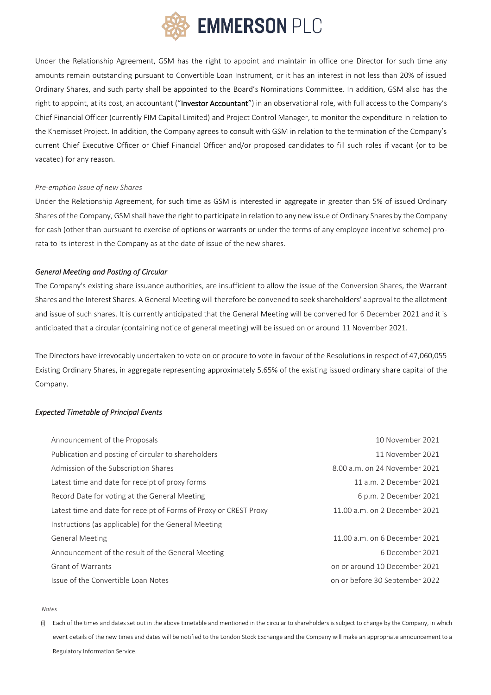

Under the Relationship Agreement, GSM has the right to appoint and maintain in office one Director for such time any amounts remain outstanding pursuant to Convertible Loan Instrument, or it has an interest in not less than 20% of issued Ordinary Shares, and such party shall be appointed to the Board's Nominations Committee. In addition, GSM also has the right to appoint, at its cost, an accountant ("Investor Accountant") in an observational role, with full access to the Company's Chief Financial Officer (currently FIM Capital Limited) and Project Control Manager, to monitor the expenditure in relation to the Khemisset Project. In addition, the Company agrees to consult with GSM in relation to the termination of the Company's current Chief Executive Officer or Chief Financial Officer and/or proposed candidates to fill such roles if vacant (or to be vacated) for any reason.

#### *Pre-emption Issue of new Shares*

Under the Relationship Agreement, for such time as GSM is interested in aggregate in greater than 5% of issued Ordinary Shares of the Company, GSM shall have the right to participate in relation to any new issue of Ordinary Shares by the Company for cash (other than pursuant to exercise of options or warrants or under the terms of any employee incentive scheme) prorata to its interest in the Company as at the date of issue of the new shares.

#### *General Meeting and Posting of Circular*

The Company's existing share issuance authorities, are insufficient to allow the issue of the Conversion Shares, the Warrant Shares and the Interest Shares. A General Meeting will therefore be convened to seek shareholders' approval to the allotment and issue of such shares. It is currently anticipated that the General Meeting will be convened for 6 December 2021 and it is anticipated that a circular (containing notice of general meeting) will be issued on or around 11 November 2021.

The Directors have irrevocably undertaken to vote on or procure to vote in favour of the Resolutions in respect of 47,060,055 Existing Ordinary Shares, in aggregate representing approximately 5.65% of the existing issued ordinary share capital of the Company.

#### *Expected Timetable of Principal Events*

| Announcement of the Proposals                                     | 10 November 2021               |
|-------------------------------------------------------------------|--------------------------------|
| Publication and posting of circular to shareholders               | 11 November 2021               |
| Admission of the Subscription Shares                              | 8.00 a.m. on 24 November 2021  |
| Latest time and date for receipt of proxy forms                   | 11 a.m. 2 December 2021        |
| Record Date for voting at the General Meeting                     | 6 p.m. 2 December 2021         |
| Latest time and date for receipt of Forms of Proxy or CREST Proxy | 11.00 a.m. on 2 December 2021  |
| Instructions (as applicable) for the General Meeting              |                                |
| <b>General Meeting</b>                                            | 11.00 a.m. on 6 December 2021  |
| Announcement of the result of the General Meeting                 | 6 December 2021                |
| <b>Grant of Warrants</b>                                          | on or around 10 December 2021  |
| Issue of the Convertible Loan Notes                               | on or before 30 September 2022 |

#### *Notes*

(i) Each of the times and dates set out in the above timetable and mentioned in the circular to shareholders is subject to change by the Company, in which event details of the new times and dates will be notified to the London Stock Exchange and the Company will make an appropriate announcement to a Regulatory Information Service.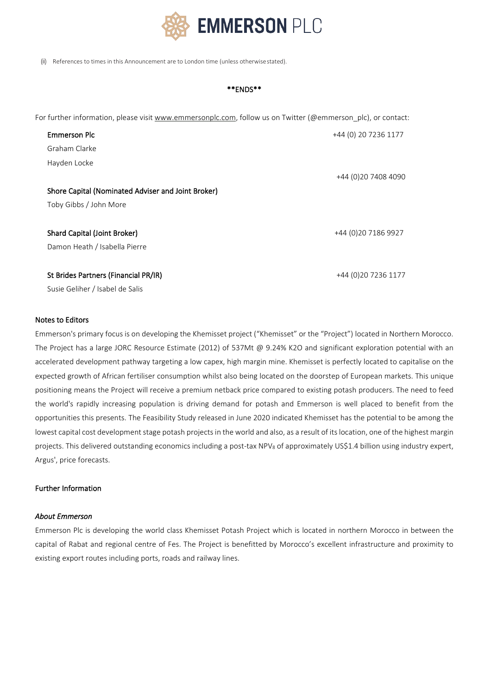

(ii) References to times in this Announcement are to London time (unless otherwisestated).

#### \*\*ENDS\*\*

For further information, please visit [www.emmersonplc.com,](http://www.emmersonplc.com/) follow us on Twitter (@emmerson\_plc), or contact:

| <b>Emmerson Plc</b>                                | +44 (0) 20 7236 1177 |
|----------------------------------------------------|----------------------|
| Graham Clarke                                      |                      |
| Hayden Locke                                       |                      |
|                                                    | +44 (0) 20 7408 4090 |
| Shore Capital (Nominated Adviser and Joint Broker) |                      |
| Toby Gibbs / John More                             |                      |
|                                                    |                      |
| Shard Capital (Joint Broker)                       | +44 (0) 20 7186 9927 |
| Damon Heath / Isabella Pierre                      |                      |
|                                                    |                      |
| St Brides Partners (Financial PR/IR)               | +44 (0) 20 7236 1177 |
| Susie Geliher / Isabel de Salis                    |                      |

## Notes to Editors

Emmerson's primary focus is on developing the Khemisset project ("Khemisset" or the "Project") located in Northern Morocco. The Project has a large JORC Resource Estimate (2012) of 537Mt @ 9.24% K2O and significant exploration potential with an accelerated development pathway targeting a low capex, high margin mine. Khemisset is perfectly located to capitalise on the expected growth of African fertiliser consumption whilst also being located on the doorstep of European markets. This unique positioning means the Project will receive a premium netback price compared to existing potash producers. The need to feed the world's rapidly increasing population is driving demand for potash and Emmerson is well placed to benefit from the opportunities this presents. The Feasibility Study released in June 2020 indicated Khemisset has the potential to be among the lowest capital cost development stage potash projects in the world and also, as a result of its location, one of the highest margin projects. This delivered outstanding economics including a post-tax NPV<sub>8</sub> of approximately US\$1.4 billion using industry expert, Argus', price forecasts.

#### Further Information

#### *About Emmerson*

Emmerson Plc is developing the world class Khemisset Potash Project which is located in northern Morocco in between the capital of Rabat and regional centre of Fes. The Project is benefitted by Morocco's excellent infrastructure and proximity to existing export routes including ports, roads and railway lines.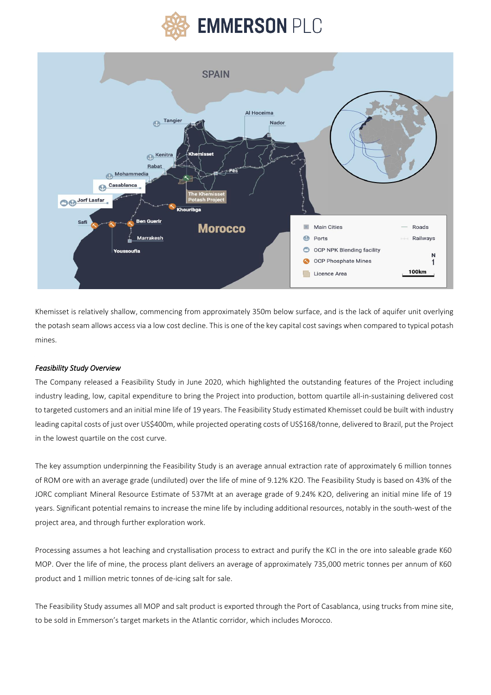



Khemisset is relatively shallow, commencing from approximately 350m below surface, and is the lack of aquifer unit overlying the potash seam allows access via a low cost decline. Thisis one of the key capital cost savings when compared to typical potash mines.

#### *Feasibility Study Overview*

The Company released a Feasibility Study in June 2020, which highlighted the outstanding features of the Project including industry leading, low, capital expenditure to bring the Project into production, bottom quartile all-in-sustaining delivered cost to targeted customers and an initial mine life of 19 years. The Feasibility Study estimated Khemisset could be built with industry leading capital costs of just over US\$400m, while projected operating costs of US\$168/tonne, delivered to Brazil, put the Project in the lowest quartile on the cost curve.

The key assumption underpinning the Feasibility Study is an average annual extraction rate of approximately 6 million tonnes of ROM ore with an average grade (undiluted) over the life of mine of 9.12% K2O. The Feasibility Study is based on 43% of the JORC compliant Mineral Resource Estimate of 537Mt at an average grade of 9.24% K2O, delivering an initial mine life of 19 years. Significant potential remains to increase the mine life by including additional resources, notably in the south-west of the project area, and through further exploration work.

Processing assumes a hot leaching and crystallisation process to extract and purify the KCl in the ore into saleable grade K60 MOP. Over the life of mine, the process plant delivers an average of approximately 735,000 metric tonnes per annum of K60 product and 1 million metric tonnes of de-icing salt for sale.

The Feasibility Study assumes all MOP and salt product is exported through the Port of Casablanca, using trucks from mine site, to be sold in Emmerson's target markets in the Atlantic corridor, which includes Morocco.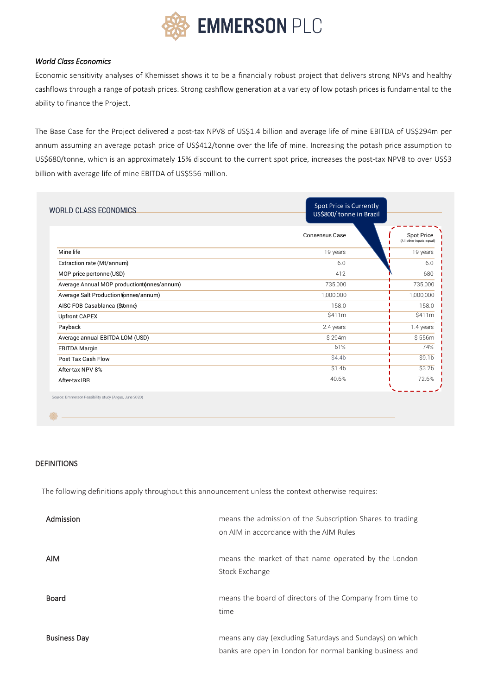

# *World Class Economics*

Economic sensitivity analyses of Khemisset shows it to be a financially robust project that delivers strong NPVs and healthy cashflows through a range of potash prices. Strong cashflow generation at a variety of low potash prices is fundamental to the ability to finance the Project.

The Base Case for the Project delivered a post-tax NPV8 of US\$1.4 billion and average life of mine EBITDA of US\$294m per annum assuming an average potash price of US\$412/tonne over the life of mine. Increasing the potash price assumption to US\$680/tonne, which is an approximately 15% discount to the current spot price, increases the post-tax NPV8 to over US\$3 billion with average life of mine EBITDA of US\$556 million.

| <b>WORLD CLASS ECONOMICS</b>                | Spot Price is Currently<br>US\$800/ tonne in Brazil |                                               |
|---------------------------------------------|-----------------------------------------------------|-----------------------------------------------|
|                                             | <b>Consensus Case</b>                               | <b>Spot Price</b><br>(All other inputs equal) |
| Mine life                                   | 19 years                                            | 19 years                                      |
| Extraction rate (Mt/annum)                  | 6.0                                                 | 6.0                                           |
| MOP price pertonne (USD)                    | 412                                                 | 680                                           |
| Average Annual MOP productiont (nnes/annum) | 735,000                                             | 735,000                                       |
| Average Salt Production (onnes/annum)       | 1,000,000                                           | 1,000,000                                     |
| AISC FOB Casablanca (\$t/onne)              | 158.0                                               | 158.0                                         |
| <b>Upfront CAPEX</b>                        | \$411m                                              | \$411m                                        |
| Payback                                     | 2.4 years                                           | 1.4 years                                     |
| Average annual EBITDA LOM (USD)             | \$294m                                              | \$556m                                        |
| <b>EBITDA Margin</b>                        | 61%                                                 | 74%                                           |
| Post Tax Cash Flow                          | \$4.4 <sub>b</sub>                                  | \$9.1 <sub>b</sub>                            |
| After-tax NPV 8%                            | \$1.4b                                              | \$3.2 <sub>b</sub>                            |
| After-tax IRR                               | 40.6%                                               | 72.6%                                         |

罍

DEFINITIONS

The following definitions apply throughout this announcement unless the context otherwise requires:

| Admission           | means the admission of the Subscription Shares to trading |
|---------------------|-----------------------------------------------------------|
|                     | on AIM in accordance with the AIM Rules                   |
|                     |                                                           |
| <b>AIM</b>          | means the market of that name operated by the London      |
|                     | Stock Exchange                                            |
|                     |                                                           |
| <b>Board</b>        | means the board of directors of the Company from time to  |
|                     | time                                                      |
|                     |                                                           |
| <b>Business Day</b> | means any day (excluding Saturdays and Sundays) on which  |
|                     | banks are open in London for normal banking business and  |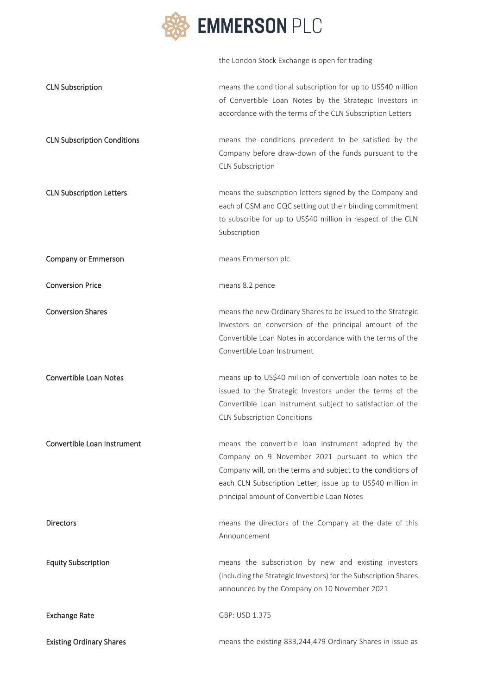

|                                    | the London Stock Exchange is open for trading                                                                                                                                                                                                                                        |
|------------------------------------|--------------------------------------------------------------------------------------------------------------------------------------------------------------------------------------------------------------------------------------------------------------------------------------|
| <b>CLN Subscription</b>            | means the conditional subscription for up to US\$40 million<br>of Convertible Loan Notes by the Strategic Investors in<br>accordance with the terms of the CLN Subscription Letters                                                                                                  |
| <b>CLN Subscription Conditions</b> | means the conditions precedent to be satisfied by the<br>Company before draw-down of the funds pursuant to the<br><b>CLN Subscription</b>                                                                                                                                            |
| <b>CLN Subscription Letters</b>    | means the subscription letters signed by the Company and<br>each of GSM and GQC setting out their binding commitment<br>to subscribe for up to US\$40 million in respect of the CLN<br>Subscription                                                                                  |
| <b>Company or Emmerson</b>         | means Emmerson plc                                                                                                                                                                                                                                                                   |
| <b>Conversion Price</b>            | means 8.2 pence                                                                                                                                                                                                                                                                      |
| <b>Conversion Shares</b>           | means the new Ordinary Shares to be issued to the Strategic<br>Investors on conversion of the principal amount of the<br>Convertible Loan Notes in accordance with the terms of the<br>Convertible Loan Instrument                                                                   |
| <b>Convertible Loan Notes</b>      | means up to US\$40 million of convertible loan notes to be<br>issued to the Strategic Investors under the terms of the<br>Convertible Loan Instrument subject to satisfaction of the<br><b>CLN Subscription Conditions</b>                                                           |
| Convertible Loan Instrument        | means the convertible loan instrument adopted by the<br>Company on 9 November 2021 pursuant to which the<br>Company will, on the terms and subject to the conditions of<br>each CLN Subscription Letter, issue up to US\$40 million in<br>principal amount of Convertible Loan Notes |
| Directors                          | means the directors of the Company at the date of this<br>Announcement                                                                                                                                                                                                               |
| <b>Equity Subscription</b>         | means the subscription by new and existing investors<br>(including the Strategic Investors) for the Subscription Shares<br>announced by the Company on 10 November 2021                                                                                                              |
| <b>Exchange Rate</b>               | GBP: USD 1.375                                                                                                                                                                                                                                                                       |
| <b>Existing Ordinary Shares</b>    | means the existing 833,244,479 Ordinary Shares in issue as                                                                                                                                                                                                                           |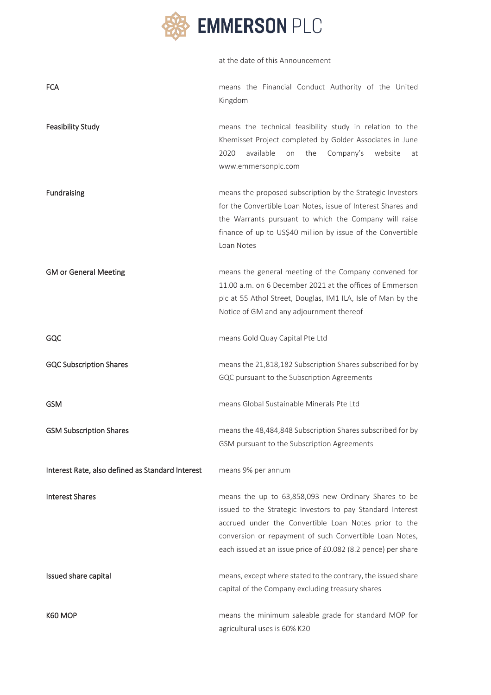

|                                                  | at the date of this Announcement                                                                                                                                                                                                                                                                        |
|--------------------------------------------------|---------------------------------------------------------------------------------------------------------------------------------------------------------------------------------------------------------------------------------------------------------------------------------------------------------|
| <b>FCA</b>                                       | means the Financial Conduct Authority of the United<br>Kingdom                                                                                                                                                                                                                                          |
| <b>Feasibility Study</b>                         | means the technical feasibility study in relation to the<br>Khemisset Project completed by Golder Associates in June<br>available<br>2020<br>on<br>the<br>Company's<br>website<br>at<br>www.emmersonplc.com                                                                                             |
| <b>Fundraising</b>                               | means the proposed subscription by the Strategic Investors<br>for the Convertible Loan Notes, issue of Interest Shares and<br>the Warrants pursuant to which the Company will raise<br>finance of up to US\$40 million by issue of the Convertible<br>Loan Notes                                        |
| <b>GM or General Meeting</b>                     | means the general meeting of the Company convened for<br>11.00 a.m. on 6 December 2021 at the offices of Emmerson<br>plc at 55 Athol Street, Douglas, IM1 ILA, Isle of Man by the<br>Notice of GM and any adjournment thereof                                                                           |
| GQC                                              | means Gold Quay Capital Pte Ltd                                                                                                                                                                                                                                                                         |
| <b>GQC Subscription Shares</b>                   | means the 21,818,182 Subscription Shares subscribed for by<br>GQC pursuant to the Subscription Agreements                                                                                                                                                                                               |
| <b>GSM</b>                                       | means Global Sustainable Minerals Pte Ltd                                                                                                                                                                                                                                                               |
| <b>GSM Subscription Shares</b>                   | means the 48,484,848 Subscription Shares subscribed for by<br>GSM pursuant to the Subscription Agreements                                                                                                                                                                                               |
| Interest Rate, also defined as Standard Interest | means 9% per annum                                                                                                                                                                                                                                                                                      |
| <b>Interest Shares</b>                           | means the up to 63,858,093 new Ordinary Shares to be<br>issued to the Strategic Investors to pay Standard Interest<br>accrued under the Convertible Loan Notes prior to the<br>conversion or repayment of such Convertible Loan Notes,<br>each issued at an issue price of £0.082 (8.2 pence) per share |
| Issued share capital                             | means, except where stated to the contrary, the issued share<br>capital of the Company excluding treasury shares                                                                                                                                                                                        |
| K60 MOP                                          | means the minimum saleable grade for standard MOP for<br>agricultural uses is 60% K20                                                                                                                                                                                                                   |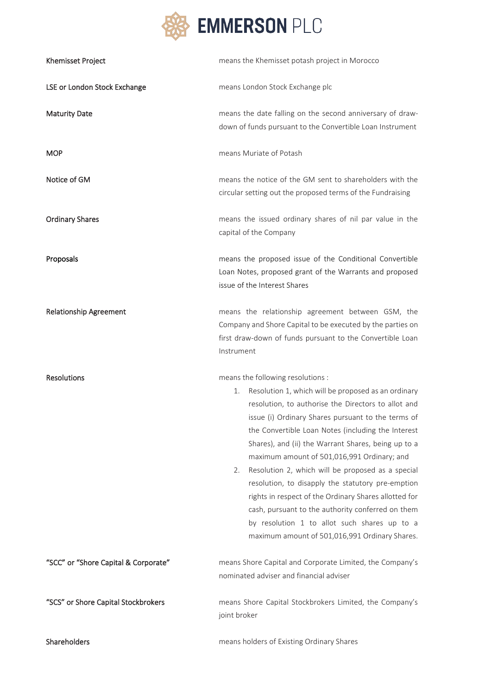

| Khemisset Project                    | means the Khemisset potash project in Morocco                                                                                                                                                                                                                                                                                                                                                                                                                                                                                                                                                                                                                                                           |
|--------------------------------------|---------------------------------------------------------------------------------------------------------------------------------------------------------------------------------------------------------------------------------------------------------------------------------------------------------------------------------------------------------------------------------------------------------------------------------------------------------------------------------------------------------------------------------------------------------------------------------------------------------------------------------------------------------------------------------------------------------|
| LSE or London Stock Exchange         | means London Stock Exchange plc                                                                                                                                                                                                                                                                                                                                                                                                                                                                                                                                                                                                                                                                         |
| <b>Maturity Date</b>                 | means the date falling on the second anniversary of draw-<br>down of funds pursuant to the Convertible Loan Instrument                                                                                                                                                                                                                                                                                                                                                                                                                                                                                                                                                                                  |
| <b>MOP</b>                           | means Muriate of Potash                                                                                                                                                                                                                                                                                                                                                                                                                                                                                                                                                                                                                                                                                 |
| Notice of GM                         | means the notice of the GM sent to shareholders with the<br>circular setting out the proposed terms of the Fundraising                                                                                                                                                                                                                                                                                                                                                                                                                                                                                                                                                                                  |
| <b>Ordinary Shares</b>               | means the issued ordinary shares of nil par value in the<br>capital of the Company                                                                                                                                                                                                                                                                                                                                                                                                                                                                                                                                                                                                                      |
| Proposals                            | means the proposed issue of the Conditional Convertible<br>Loan Notes, proposed grant of the Warrants and proposed<br>issue of the Interest Shares                                                                                                                                                                                                                                                                                                                                                                                                                                                                                                                                                      |
| <b>Relationship Agreement</b>        | means the relationship agreement between GSM, the<br>Company and Shore Capital to be executed by the parties on<br>first draw-down of funds pursuant to the Convertible Loan<br>Instrument                                                                                                                                                                                                                                                                                                                                                                                                                                                                                                              |
| <b>Resolutions</b>                   | means the following resolutions :<br>Resolution 1, which will be proposed as an ordinary<br>1.<br>resolution, to authorise the Directors to allot and<br>issue (i) Ordinary Shares pursuant to the terms of<br>the Convertible Loan Notes (including the Interest<br>Shares), and (ii) the Warrant Shares, being up to a<br>maximum amount of 501,016,991 Ordinary; and<br>Resolution 2, which will be proposed as a special<br>2.<br>resolution, to disapply the statutory pre-emption<br>rights in respect of the Ordinary Shares allotted for<br>cash, pursuant to the authority conferred on them<br>by resolution 1 to allot such shares up to a<br>maximum amount of 501,016,991 Ordinary Shares. |
| "SCC" or "Shore Capital & Corporate" | means Shore Capital and Corporate Limited, the Company's<br>nominated adviser and financial adviser                                                                                                                                                                                                                                                                                                                                                                                                                                                                                                                                                                                                     |
| "SCS" or Shore Capital Stockbrokers  | means Shore Capital Stockbrokers Limited, the Company's<br>joint broker                                                                                                                                                                                                                                                                                                                                                                                                                                                                                                                                                                                                                                 |
| Shareholders                         | means holders of Existing Ordinary Shares                                                                                                                                                                                                                                                                                                                                                                                                                                                                                                                                                                                                                                                               |